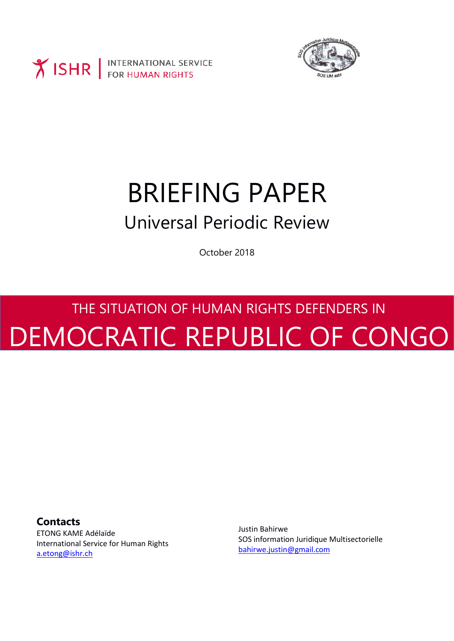



## BRIEFING PAPER Universal Periodic Review

October 2018

# THE SITUATION OF HUMAN RIGHTS DEFENDERS IN DEMOCRATIC REPUBLIC OF CONGO

**Contacts**

ETONG KAME Adélaïde International Service for Human Rights [a.etong@ishr.ch](mailto:a.etong@ishr.ch)

Justin Bahirwe SOS information Juridique Multisectorielle [bahirwe.justin@gmail.com](mailto:bahirwe.justin@gmail.com)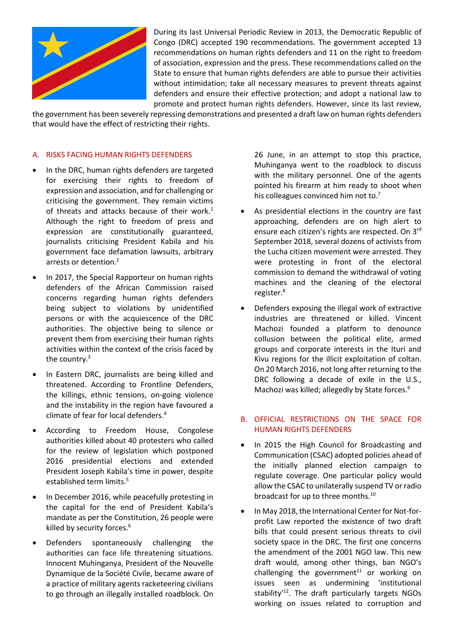

During its last Universal Periodic Review in 2013, the Democratic Republic of Congo (DRC) accepted 190 recommendations. The government accepted 13 recommendations on human rights defenders and 11 on the right to freedom of association, expression and the press. These recommendations called on the State to ensure that human rights defenders are able to pursue their activities without intimidation; take all necessary measures to prevent threats against defenders and ensure their effective protection; and adopt a national law to promote and protect human rights defenders. However, since its last review,

the government has been severely repressing demonstrations and presented a draft law on human rights defenders that would have the effect of restricting their rights.

#### A. RISKS FACING HUMAN RIGHTS DEFENDERS

- In the DRC, human rights defenders are targeted for exercising their rights to freedom of expression and association, and for challenging or criticising the government. They remain victims of threats and attacks because of their work.<sup>1</sup> Although the right to freedom of press and expression are constitutionally guaranteed, journalists criticising President Kabila and his government face defamation lawsuits, arbitrary arrests or detention.<sup>2</sup>
- In 2017, the Special Rapporteur on human rights defenders of the African Commission raised concerns regarding human rights defenders being subject to violations by unidentified persons or with the acquiescence of the DRC authorities. The objective being to silence or prevent them from exercising their human rights activities within the context of the crisis faced by the country. 3
- In Eastern DRC, journalists are being killed and threatened. According to Frontline Defenders, the killings, ethnic tensions, on-going violence and the instability in the region have favoured a climate of fear for local defenders.<sup>4</sup>
- According to Freedom House, Congolese authorities killed about 40 protesters who called for the review of legislation which postponed 2016 presidential elections and extended President Joseph Kabila's time in power, despite established term limits.<sup>5</sup>
- In December 2016, while peacefully protesting in the capital for the end of President Kabila's mandate as per the Constitution, 26 people were killed by security forces. 6
- Defenders spontaneously challenging the authorities can face life threatening situations. Innocent Muhinganya, President of the Nouvelle Dynamique de la Société Civile, became aware of a practice of military agents racketeering civilians to go through an illegally installed roadblock. On

26 June, in an attempt to stop this practice, Muhinganya went to the roadblock to discuss with the military personnel. One of the agents pointed his firearm at him ready to shoot when his colleagues convinced him not to.<sup>7</sup>

- As presidential elections in the country are fast approaching, defenders are on high alert to ensure each citizen's rights are respected. On 3rd September 2018, several dozens of activists from the Lucha citizen movement were arrested. They were protesting in front of the electoral commission to demand the withdrawal of voting machines and the cleaning of the electoral register.<sup>8</sup>
- Defenders exposing the illegal work of extractive industries are threatened or killed. Vincent Machozi founded a platform to denounce collusion between the political elite, armed groups and corporate interests in the Ituri and Kivu regions for the illicit exploitation of coltan. On 20 March 2016, not long after returning to the DRC following a decade of exile in the U.S., Machozi was killed; allegedly by State forces.<sup>9</sup>

## B. OFFICIAL RESTRICTIONS ON THE SPACE FOR HUMAN RIGHTS DEFENDERS

- In 2015 the High Council for Broadcasting and Communication (CSAC) adopted policies ahead of the initially planned election campaign to regulate coverage. One particular policy would allow the CSAC to unilaterally suspend TV or radio broadcast for up to three months.<sup>10</sup>
- In May 2018, the International Center for Not-forprofit Law reported the existence of two draft bills that could present serious threats to civil society space in the DRC. The first one concerns the amendment of the 2001 NGO law. This new draft would, among other things, ban NGO's challenging the government <sup>11</sup> or working on issues seen as undermining 'institutional stability<sup>'12</sup>. The draft particularly targets NGOs working on issues related to corruption and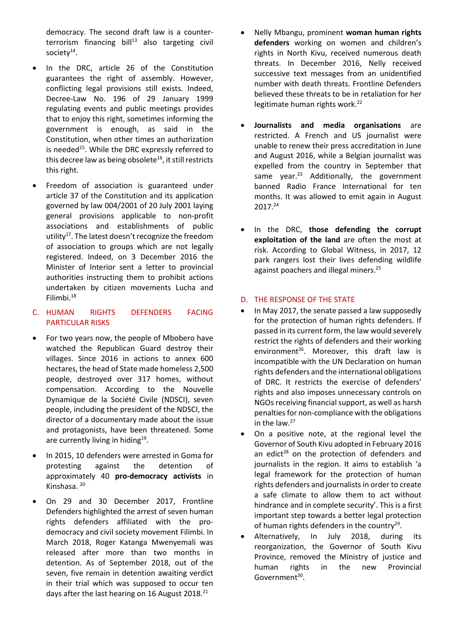democracy. The second draft law is a counter- $\text{terrorism}$  financing bill<sup>13</sup> also targeting civil society $14$ .

- In the DRC, article 26 of the Constitution guarantees the right of assembly. However, conflicting legal provisions still exists. Indeed, Decree-Law No. 196 of 29 January 1999 regulating events and public meetings provides that to enjoy this right, sometimes informing the government is enough, as said in the Constitution, when other times an authorization is needed<sup>15</sup>. While the DRC expressly referred to this decree law as being obsolete<sup>16</sup>, it still restricts this right.
- Freedom of association is guaranteed under article 37 of the Constitution and its application governed by law 004/2001 of 20 July 2001 laying general provisions applicable to non-profit associations and establishments of public utility<sup>17</sup>. The latest doesn't recognize the freedom of association to groups which are not legally registered. Indeed, on 3 December 2016 the Minister of Interior sent a letter to provincial authorities instructing them to prohibit actions undertaken by citizen movements Lucha and Filimbi.<sup>18</sup>

## C. HUMAN RIGHTS DEFENDERS FACING PARTICULAR RISKS

- For two years now, the people of Mbobero have watched the Republican Guard destroy their villages. Since 2016 in actions to annex 600 hectares, the head of State made homeless 2,500 people, destroyed over 317 homes, without compensation. According to the Nouvelle Dynamique de la Société Civile (NDSCI), seven people, including the president of the NDSCI, the director of a documentary made about the issue and protagonists, have been threatened. Some are currently living in hiding<sup>19</sup>.
- In 2015, 10 defenders were arrested in Goma for protesting against the detention of approximately 40 **pro-democracy activists** in Kinshasa. <sup>20</sup>
- On 29 and 30 December 2017, Frontline Defenders highlighted the arrest of seven human rights defenders affiliated with the prodemocracy and civil society movement Filimbi. In March 2018, Roger Katanga Mwenyemali was released after more than two months in detention. As of September 2018, out of the seven, five remain in detention awaiting verdict in their trial which was supposed to occur ten days after the last hearing on 16 August 2018.<sup>21</sup>
- Nelly Mbangu, prominent **woman human rights defenders** working on women and children's rights in North Kivu, received numerous death threats. In December 2016, Nelly received successive text messages from an unidentified number with death threats. Frontline Defenders believed these threats to be in retaliation for her legitimate human rights work.<sup>22</sup>
- **Journalists and media organisations** are restricted. A French and US journalist were unable to renew their press accreditation in June and August 2016, while a Belgian journalist was expelled from the country in September that same year. $23$  Additionally, the government banned Radio France International for ten months. It was allowed to emit again in August 2017.<sup>24</sup>
- In the DRC, **those defending the corrupt exploitation of the land** are often the most at risk. According to Global Witness, in 2017, 12 park rangers lost their lives defending wildlife against poachers and illegal miners.<sup>25</sup>

### D. THE RESPONSE OF THE STATE

- In May 2017, the senate passed a law supposedly for the protection of human rights defenders. If passed in its current form, the law would severely restrict the rights of defenders and their working environment<sup>26</sup>. Moreover, this draft law is incompatible with the UN Declaration on human rights defenders and the international obligations of DRC. It restricts the exercise of defenders' rights and also imposes unnecessary controls on NGOs receiving financial support, as well as harsh penalties for non-compliance with the obligations in the law. 27
- On a positive note, at the regional level the Governor of South Kivu adopted in February 2016 an edict<sup>28</sup> on the protection of defenders and journalists in the region. It aims to establish 'a legal framework for the protection of human rights defenders and journalists in order to create a safe climate to allow them to act without hindrance and in complete security'. This is a first important step towards a better legal protection of human rights defenders in the country<sup>29</sup>.
- Alternatively, In July 2018, during its reorganization, the Governor of South Kivu Province, removed the Ministry of justice and human rights in the new Provincial Government<sup>30</sup>.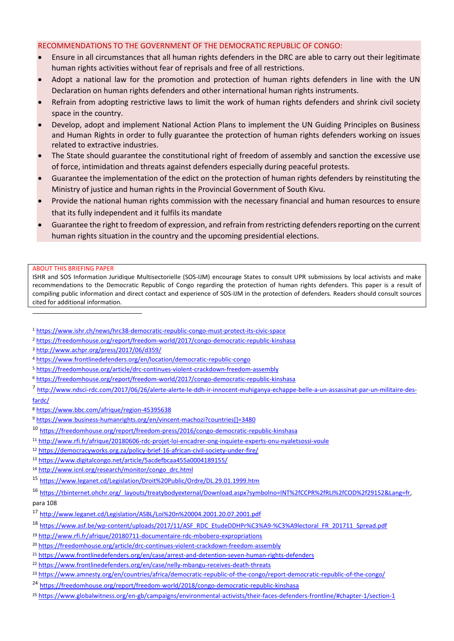#### RECOMMENDATIONS TO THE GOVERNMENT OF THE DEMOCRATIC REPUBLIC OF CONGO:

- Ensure in all circumstances that all human rights defenders in the DRC are able to carry out their legitimate human rights activities without fear of reprisals and free of all restrictions.
- Adopt a national law for the promotion and protection of human rights defenders in line with the UN Declaration on human rights defenders and other international human rights instruments.
- Refrain from adopting restrictive laws to limit the work of human rights defenders and shrink civil society space in the country.
- Develop, adopt and implement National Action Plans to implement the UN Guiding Principles on Business and Human Rights in order to fully guarantee the protection of human rights defenders working on issues related to extractive industries.
- The State should guarantee the constitutional right of freedom of assembly and sanction the excessive use of force, intimidation and threats against defenders especially during peaceful protests.
- Guarantee the implementation of the edict on the protection of human rights defenders by reinstituting the Ministry of justice and human rights in the Provincial Government of South Kivu.
- Provide the national human rights commission with the necessary financial and human resources to ensure that its fully independent and it fulfils its mandate
- Guarantee the right to freedom of expression, and refrain from restricting defenders reporting on the current human rights situation in the country and the upcoming presidential elections.

#### ABOUT THIS BRIEFING PAPER

 $\overline{a}$ 

ISHR and SOS Information Juridique Multisectorielle (SOS-IJM) encourage States to consult UPR submissions by local activists and make recommendations to the Democratic Republic of Congo regarding the protection of human rights defenders. This paper is a result of compiling public information and direct contact and experience of SOS-IJM in the protection of defenders. Readers should consult sources cited for additional information.

- <sup>1</sup> <https://www.ishr.ch/news/hrc38-democratic-republic-congo-must-protect-its-civic-space>
- <sup>2</sup> <https://freedomhouse.org/report/freedom-world/2017/congo-democratic-republic-kinshasa>
- <sup>3</sup> <http://www.achpr.org/press/2017/06/d359/>
- <sup>4</sup> <https://www.frontlinedefenders.org/en/location/democratic-republic-congo>
- <sup>5</sup> <https://freedomhouse.org/article/drc-continues-violent-crackdown-freedom-assembly>
- <sup>6</sup> <https://freedomhouse.org/report/freedom-world/2017/congo-democratic-republic-kinshasa>
- <sup>7</sup> [http://www.ndsci-rdc.com/2017/06/26/alerte-alerte-le-ddh-ir-innocent-muhiganya-echappe-belle-a-un-assassinat-par-un-militaire-des](http://www.ndsci-rdc.com/2017/06/26/alerte-alerte-le-ddh-ir-innocent-muhiganya-echappe-belle-a-un-assassinat-par-un-militaire-des-fardc/)[fardc/](http://www.ndsci-rdc.com/2017/06/26/alerte-alerte-le-ddh-ir-innocent-muhiganya-echappe-belle-a-un-assassinat-par-un-militaire-des-fardc/)
- <sup>8</sup> <https://www.bbc.com/afrique/region-45395638>
- <sup>9</sup> [https://www.business-humanrights.org/en/vincent-machozi?countries\[\]=3480](https://www.business-humanrights.org/en/vincent-machozi?countries%5b%5d=3480)
- <sup>10</sup> <https://freedomhouse.org/report/freedom-press/2016/congo-democratic-republic-kinshasa>
- <sup>11</sup> <http://www.rfi.fr/afrique/20180606-rdc-projet-loi-encadrer-ong-inquiete-experts-onu-nyaletsossi-voule>
- <sup>12</sup> <https://democracyworks.org.za/policy-brief-16-african-civil-society-under-fire/>
- <sup>13</sup> <https://www.digitalcongo.net/article/5acdefbcaa455a0004189155/>
- <sup>14</sup> [http://www.icnl.org/research/monitor/congo\\_drc.html](http://www.icnl.org/research/monitor/congo_drc.html)
- <sup>15</sup> <https://www.leganet.cd/Legislation/Droit%20Public/Ordre/DL.29.01.1999.htm>

<sup>16</sup> [https://tbinternet.ohchr.org/\\_layouts/treatybodyexternal/Download.aspx?symbolno=INT%2fCCPR%2fRLI%2fCOD%2f29152&Lang=fr,](https://tbinternet.ohchr.org/_layouts/treatybodyexternal/Download.aspx?symbolno=INT%2fCCPR%2fRLI%2fCOD%2f29152&Lang=fr) para 108

- <sup>17</sup> <http://www.leganet.cd/Legislation/ASBL/Loi%20n%20004.2001.20.07.2001.pdf>
- <sup>18</sup> [https://www.asf.be/wp-content/uploads/2017/11/ASF\\_RDC\\_EtudeDDHPr%C3%A9-%C3%A9lectoral\\_FR\\_201711\\_Spread.pdf](https://www.asf.be/wp-content/uploads/2017/11/ASF_RDC_EtudeDDHPr%C3%A9-%C3%A9lectoral_FR_201711_Spread.pdf)
- <sup>19</sup> <http://www.rfi.fr/afrique/20180711-documentaire-rdc-mbobero-expropriations>
- <sup>20</sup> <https://freedomhouse.org/article/drc-continues-violent-crackdown-freedom-assembly>
- <sup>21</sup> <https://www.frontlinedefenders.org/en/case/arrest-and-detention-seven-human-rights-defenders>
- <sup>22</sup> <https://www.frontlinedefenders.org/en/case/nelly-mbangu-receives-death-threats>
- <sup>23</sup> <https://www.amnesty.org/en/countries/africa/democratic-republic-of-the-congo/report-democratic-republic-of-the-congo/>
- <sup>24</sup> <https://freedomhouse.org/report/freedom-world/2018/congo-democratic-republic-kinshasa>
- <sup>25</sup> <https://www.globalwitness.org/en-gb/campaigns/environmental-activists/their-faces-defenders-frontline/#chapter-1/section-1>